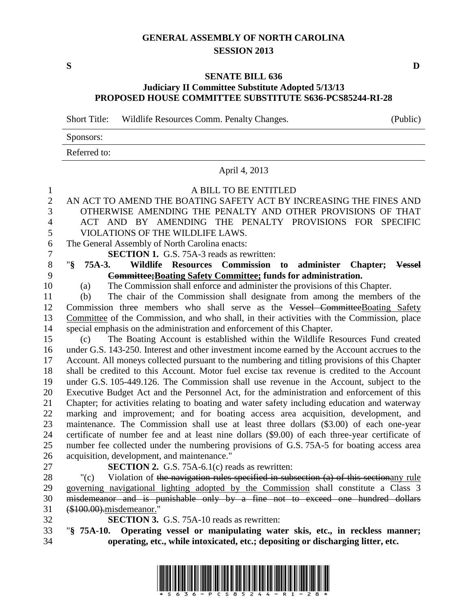# **GENERAL ASSEMBLY OF NORTH CAROLINA SESSION 2013**

**S D**

## **SENATE BILL 636 Judiciary II Committee Substitute Adopted 5/13/13 PROPOSED HOUSE COMMITTEE SUBSTITUTE S636-PCS85244-RI-28**

Short Title: Wildlife Resources Comm. Penalty Changes. (Public)

| Sponsors:    |  |
|--------------|--|
| Referred to: |  |

#### April 4, 2013

### A BILL TO BE ENTITLED

- AN ACT TO AMEND THE BOATING SAFETY ACT BY INCREASING THE FINES AND OTHERWISE AMENDING THE PENALTY AND OTHER PROVISIONS OF THAT ACT AND BY AMENDING THE PENALTY PROVISIONS FOR SPECIFIC VIOLATIONS OF THE WILDLIFE LAWS.
- The General Assembly of North Carolina enacts:
- **SECTION 1.** G.S. 75A-3 reads as rewritten:
- "**§ 75A-3. Wildlife Resources Commission to administer Chapter; Vessel Committee;Boating Safety Committee; funds for administration.**
- (a) The Commission shall enforce and administer the provisions of this Chapter.
- (b) The chair of the Commission shall designate from among the members of the 12 Commission three members who shall serve as the Vessel CommitteeBoating Safety Committee of the Commission, and who shall, in their activities with the Commission, place special emphasis on the administration and enforcement of this Chapter.
- (c) The Boating Account is established within the Wildlife Resources Fund created under G.S. 143-250. Interest and other investment income earned by the Account accrues to the Account. All moneys collected pursuant to the numbering and titling provisions of this Chapter shall be credited to this Account. Motor fuel excise tax revenue is credited to the Account under G.S. 105-449.126. The Commission shall use revenue in the Account, subject to the Executive Budget Act and the Personnel Act, for the administration and enforcement of this Chapter; for activities relating to boating and water safety including education and waterway marking and improvement; and for boating access area acquisition, development, and maintenance. The Commission shall use at least three dollars (\$3.00) of each one-year certificate of number fee and at least nine dollars (\$9.00) of each three-year certificate of number fee collected under the numbering provisions of G.S. 75A-5 for boating access area acquisition, development, and maintenance."
- 
- **SECTION 2.** G.S. 75A-6.1(c) reads as rewritten:
- "(c) Violation of the navigation rules specified in subsection (a) of this sectionany rule governing navigational lighting adopted by the Commission shall constitute a Class 3 misdemeanor and is punishable only by a fine not to exceed one hundred dollars (\$100.00).misdemeanor."
- **SECTION 3.** G.S. 75A-10 reads as rewritten:
- "**§ 75A-10. Operating vessel or manipulating water skis, etc., in reckless manner; operating, etc., while intoxicated, etc.; depositing or discharging litter, etc.**

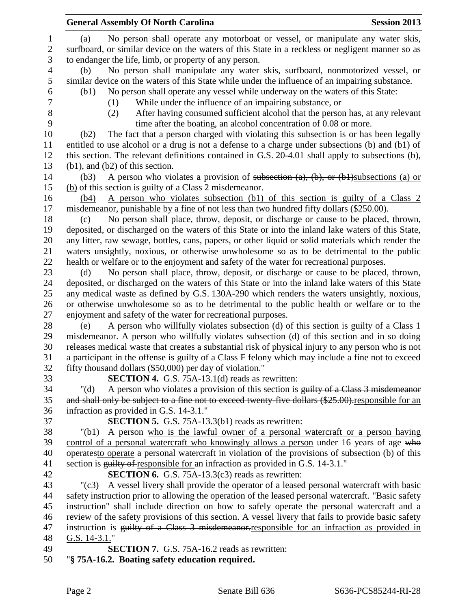|                | <b>General Assembly Of North Carolina</b>                                                                                                                                                   | <b>Session 2013</b> |
|----------------|---------------------------------------------------------------------------------------------------------------------------------------------------------------------------------------------|---------------------|
| $\mathbf{1}$   | No person shall operate any motorboat or vessel, or manipulate any water skis,<br>(a)                                                                                                       |                     |
| $\overline{2}$ | surfboard, or similar device on the waters of this State in a reckless or negligent manner so as                                                                                            |                     |
| 3              | to endanger the life, limb, or property of any person.                                                                                                                                      |                     |
| $\overline{4}$ | No person shall manipulate any water skis, surfboard, nonmotorized vessel, or<br>(b)                                                                                                        |                     |
| 5              | similar device on the waters of this State while under the influence of an impairing substance.                                                                                             |                     |
| 6              | No person shall operate any vessel while underway on the waters of this State:<br>(b1)                                                                                                      |                     |
| 7              | While under the influence of an impairing substance, or<br>(1)                                                                                                                              |                     |
| 8              | After having consumed sufficient alcohol that the person has, at any relevant<br>(2)                                                                                                        |                     |
| 9              | time after the boating, an alcohol concentration of 0.08 or more.                                                                                                                           |                     |
| 10             | The fact that a person charged with violating this subsection is or has been legally<br>(b2)                                                                                                |                     |
| 11             | entitled to use alcohol or a drug is not a defense to a charge under subsections (b) and (b1) of                                                                                            |                     |
| 12             | this section. The relevant definitions contained in G.S. 20-4.01 shall apply to subsections (b),                                                                                            |                     |
| 13             | $(b1)$ , and $(b2)$ of this section.                                                                                                                                                        |                     |
| 14             | A person who violates a provision of subsection $(a)$ , $(b)$ , or $(b)$ subsections (a) or<br>(b3)                                                                                         |                     |
| 15             | (b) of this section is guilty of a Class 2 misdemeanor.                                                                                                                                     |                     |
| 16             | A person who violates subsection (b1) of this section is guilty of a Class 2<br>(b4)                                                                                                        |                     |
| 17             | misdemeanor, punishable by a fine of not less than two hundred fifty dollars (\$250.00).                                                                                                    |                     |
| 18             | No person shall place, throw, deposit, or discharge or cause to be placed, thrown,<br>(c)                                                                                                   |                     |
| 19             | deposited, or discharged on the waters of this State or into the inland lake waters of this State,                                                                                          |                     |
| 20             | any litter, raw sewage, bottles, cans, papers, or other liquid or solid materials which render the                                                                                          |                     |
| 21             | waters unsightly, noxious, or otherwise unwholesome so as to be detrimental to the public                                                                                                   |                     |
| 22             | health or welfare or to the enjoyment and safety of the water for recreational purposes.                                                                                                    |                     |
| 23             | No person shall place, throw, deposit, or discharge or cause to be placed, thrown,<br>(d)                                                                                                   |                     |
| 24             | deposited, or discharged on the waters of this State or into the inland lake waters of this State                                                                                           |                     |
| 25             | any medical waste as defined by G.S. 130A-290 which renders the waters unsightly, noxious,                                                                                                  |                     |
| 26             | or otherwise unwholesome so as to be detrimental to the public health or welfare or to the                                                                                                  |                     |
| 27             | enjoyment and safety of the water for recreational purposes.                                                                                                                                |                     |
| 28<br>29       | A person who willfully violates subsection (d) of this section is guilty of a Class 1<br>(e)<br>misdemeanor. A person who willfully violates subsection (d) of this section and in so doing |                     |
| 30             | releases medical waste that creates a substantial risk of physical injury to any person who is not                                                                                          |                     |
| 31             | a participant in the offense is guilty of a Class F felony which may include a fine not to exceed                                                                                           |                     |
| 32             | fifty thousand dollars (\$50,000) per day of violation."                                                                                                                                    |                     |
| 33             | <b>SECTION 4.</b> G.S. 75A-13.1(d) reads as rewritten:                                                                                                                                      |                     |
| 34             | A person who violates a provision of this section is guilty of a Class 3 misdemeanor<br>" $(d)$                                                                                             |                     |
| 35             | and shall only be subject to a fine not to exceed twenty five dollars (\$25.00) responsible for an                                                                                          |                     |
| 36             | infraction as provided in G.S. 14-3.1."                                                                                                                                                     |                     |
| 37             | <b>SECTION 5.</b> G.S. 75A-13.3(b1) reads as rewritten:                                                                                                                                     |                     |
| 38             | A person who is the lawful owner of a personal watercraft or a person having<br>"(b1)                                                                                                       |                     |
| 39             | control of a personal watercraft who knowingly allows a person under 16 years of age who                                                                                                    |                     |
| 40             | operates to operate a personal watercraft in violation of the provisions of subsection (b) of this                                                                                          |                     |
| 41             | section is guilty of responsible for an infraction as provided in G.S. 14-3.1."                                                                                                             |                     |
| 42             | <b>SECTION 6.</b> G.S. 75A-13.3(c3) reads as rewritten:                                                                                                                                     |                     |
| 43             | A vessel livery shall provide the operator of a leased personal watercraft with basic<br>$"({c}3)$                                                                                          |                     |
| 44             | safety instruction prior to allowing the operation of the leased personal watercraft. "Basic safety                                                                                         |                     |
| 45             | instruction" shall include direction on how to safely operate the personal watercraft and a                                                                                                 |                     |
| 46             | review of the safety provisions of this section. A vessel livery that fails to provide basic safety                                                                                         |                     |
| 47             | instruction is guilty of a Class 3 misdemeanor-responsible for an infraction as provided in                                                                                                 |                     |
| 48             | G.S. $14-3.1$ ."                                                                                                                                                                            |                     |
| 49             | <b>SECTION 7.</b> G.S. 75A-16.2 reads as rewritten:                                                                                                                                         |                     |
| 50             | "§ 75A-16.2. Boating safety education required.                                                                                                                                             |                     |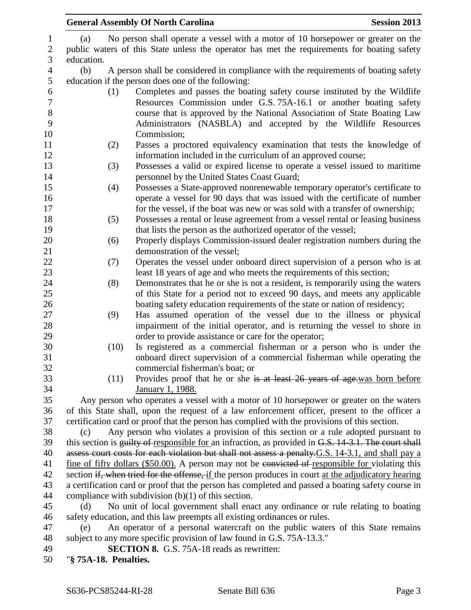| No person shall operate a vessel with a motor of 10 horsepower or greater on the<br>(a)              |  |
|------------------------------------------------------------------------------------------------------|--|
| public waters of this State unless the operator has met the requirements for boating safety          |  |
| education.                                                                                           |  |
| (b)<br>A person shall be considered in compliance with the requirements of boating safety            |  |
| education if the person does one of the following:                                                   |  |
| Completes and passes the boating safety course instituted by the Wildlife<br>(1)                     |  |
| Resources Commission under G.S. 75A-16.1 or another boating safety                                   |  |
| course that is approved by the National Association of State Boating Law                             |  |
| Administrators (NASBLA) and accepted by the Wildlife Resources                                       |  |
| Commission;                                                                                          |  |
| Passes a proctored equivalency examination that tests the knowledge of<br>(2)                        |  |
| information included in the curriculum of an approved course;                                        |  |
| Possesses a valid or expired license to operate a vessel issued to maritime<br>(3)                   |  |
| personnel by the United States Coast Guard;                                                          |  |
| Possesses a State-approved nonrenewable temporary operator's certificate to<br>(4)                   |  |
| operate a vessel for 90 days that was issued with the certificate of number                          |  |
| for the vessel, if the boat was new or was sold with a transfer of ownership;                        |  |
| Possesses a rental or lease agreement from a vessel rental or leasing business<br>(5)                |  |
| that lists the person as the authorized operator of the vessel;                                      |  |
| Properly displays Commission-issued dealer registration numbers during the<br>(6)                    |  |
| demonstration of the vessel;                                                                         |  |
| Operates the vessel under onboard direct supervision of a person who is at<br>(7)                    |  |
| least 18 years of age and who meets the requirements of this section;                                |  |
| Demonstrates that he or she is not a resident, is temporarily using the waters<br>(8)                |  |
| of this State for a period not to exceed 90 days, and meets any applicable                           |  |
| boating safety education requirements of the state or nation of residency;                           |  |
| (9)<br>Has assumed operation of the vessel due to the illness or physical                            |  |
| impairment of the initial operator, and is returning the vessel to shore in                          |  |
| order to provide assistance or care for the operator;                                                |  |
| (10)<br>Is registered as a commercial fisherman or a person who is under the                         |  |
| onboard direct supervision of a commercial fisherman while operating the                             |  |
| commercial fisherman's boat; or                                                                      |  |
| Provides proof that he or she is at least 26 years of age was born before<br>(11)                    |  |
| January 1, 1988.                                                                                     |  |
| Any person who operates a vessel with a motor of 10 horsepower or greater on the waters              |  |
| of this State shall, upon the request of a law enforcement officer, present to the officer a         |  |
| certification card or proof that the person has complied with the provisions of this section.        |  |
| Any person who violates a provision of this section or a rule adopted pursuant to<br>(c)             |  |
| this section is guilty of responsible for an infraction, as provided in G.S. 14-3.1. The court shall |  |
| assess court costs for each violation but shall not assess a penalty G.S. 14-3.1, and shall pay a    |  |
| fine of fifty dollars (\$50.00). A person may not be convicted of responsible for violating this     |  |
| section if, when tried for the offense, if the person produces in court at the adjudicatory hearing  |  |
| a certification card or proof that the person has completed and passed a boating safety course in    |  |
| compliance with subdivision $(b)(1)$ of this section.                                                |  |
| No unit of local government shall enact any ordinance or rule relating to boating<br>(d)             |  |
| safety education, and this law preempts all existing ordinances or rules.                            |  |
| An operator of a personal watercraft on the public waters of this State remains<br>(e)               |  |
| subject to any more specific provision of law found in G.S. 75A-13.3."                               |  |
| <b>SECTION 8.</b> G.S. 75A-18 reads as rewritten:                                                    |  |
| "§ 75A-18. Penalties.                                                                                |  |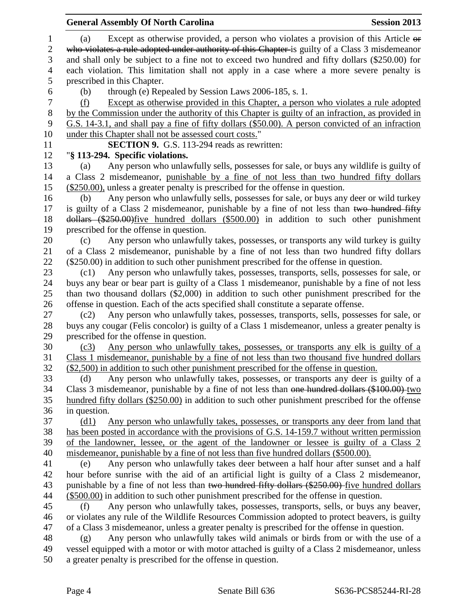|                  | <b>General Assembly Of North Carolina</b>                                                         | <b>Session 2013</b> |
|------------------|---------------------------------------------------------------------------------------------------|---------------------|
| $\mathbf{1}$     | Except as otherwise provided, a person who violates a provision of this Article or<br>(a)         |                     |
| $\overline{c}$   | who violates a rule adopted under authority of this Chapter-is guilty of a Class 3 misdemeanor    |                     |
| 3                | and shall only be subject to a fine not to exceed two hundred and fifty dollars (\$250.00) for    |                     |
| $\overline{4}$   | each violation. This limitation shall not apply in a case where a more severe penalty is          |                     |
| 5                | prescribed in this Chapter.                                                                       |                     |
| 6                | through (e) Repealed by Session Laws 2006-185, s. 1.<br>(b)                                       |                     |
| $\boldsymbol{7}$ | Except as otherwise provided in this Chapter, a person who violates a rule adopted<br>(f)         |                     |
| $8\,$            | by the Commission under the authority of this Chapter is guilty of an infraction, as provided in  |                     |
| 9                | G.S. 14-3.1, and shall pay a fine of fifty dollars (\$50.00). A person convicted of an infraction |                     |
| 10               | under this Chapter shall not be assessed court costs."                                            |                     |
| 11               | <b>SECTION 9.</b> G.S. 113-294 reads as rewritten:                                                |                     |
| 12               | "§ 113-294. Specific violations.                                                                  |                     |
| 13               | Any person who unlawfully sells, possesses for sale, or buys any wildlife is guilty of<br>(a)     |                     |
| 14               | a Class 2 misdemeanor, punishable by a fine of not less than two hundred fifty dollars            |                     |
| 15               | (\$250.00), unless a greater penalty is prescribed for the offense in question.                   |                     |
| 16               | Any person who unlawfully sells, possesses for sale, or buys any deer or wild turkey<br>(b)       |                     |
| 17               | is guilty of a Class 2 misdemeanor, punishable by a fine of not less than two hundred fifty       |                     |
| 18               | dollars (\$250.00) five hundred dollars (\$500.00) in addition to such other punishment           |                     |
| 19               | prescribed for the offense in question.                                                           |                     |
| 20               | Any person who unlawfully takes, possesses, or transports any wild turkey is guilty<br>(c)        |                     |
| 21               | of a Class 2 misdemeanor, punishable by a fine of not less than two hundred fifty dollars         |                     |
| 22               | (\$250.00) in addition to such other punishment prescribed for the offense in question.           |                     |
| 23               | Any person who unlawfully takes, possesses, transports, sells, possesses for sale, or<br>(c1)     |                     |
| 24               | buys any bear or bear part is guilty of a Class 1 misdemeanor, punishable by a fine of not less   |                     |
| 25               | than two thousand dollars (\$2,000) in addition to such other punishment prescribed for the       |                     |
| 26               | offense in question. Each of the acts specified shall constitute a separate offense.              |                     |
| 27               | Any person who unlawfully takes, possesses, transports, sells, possesses for sale, or<br>(c2)     |                     |
| 28               | buys any cougar (Felis concolor) is guilty of a Class 1 misdemeanor, unless a greater penalty is  |                     |
| 29               | prescribed for the offense in question.                                                           |                     |
| 30               | Any person who unlawfully takes, possesses, or transports any elk is guilty of a<br>(c3)          |                     |
|                  | Class 1 misdemeanor, punishable by a fine of not less than two thousand five hundred dollars      |                     |
| 32               | $(\$2,500)$ in addition to such other punishment prescribed for the offense in question.          |                     |
| 33               | Any person who unlawfully takes, possesses, or transports any deer is guilty of a<br>(d)          |                     |
| 34               | Class 3 misdemeanor, punishable by a fine of not less than one hundred dollars (\$100.00) two     |                     |
| 35               | hundred fifty dollars (\$250.00) in addition to such other punishment prescribed for the offense  |                     |
| 36               | in question.                                                                                      |                     |
| 37               | (d1)<br>Any person who unlawfully takes, possesses, or transports any deer from land that         |                     |
| 38               | has been posted in accordance with the provisions of G.S. 14-159.7 without written permission     |                     |
| 39               | of the landowner, lessee, or the agent of the landowner or lessee is guilty of a Class 2          |                     |
| 40               | misdemeanor, punishable by a fine of not less than five hundred dollars (\$500.00).               |                     |
| 41               | Any person who unlawfully takes deer between a half hour after sunset and a half<br>(e)           |                     |
| 42               | hour before sunrise with the aid of an artificial light is guilty of a Class 2 misdemeanor,       |                     |
| 43               | punishable by a fine of not less than two hundred fifty dollars (\$250.00) five hundred dollars   |                     |
| 44               | $($500.00)$ in addition to such other punishment prescribed for the offense in question.          |                     |
| 45               | Any person who unlawfully takes, possesses, transports, sells, or buys any beaver,<br>(f)         |                     |
| 46               | or violates any rule of the Wildlife Resources Commission adopted to protect beavers, is guilty   |                     |
| 47               | of a Class 3 misdemeanor, unless a greater penalty is prescribed for the offense in question.     |                     |
| 48               | Any person who unlawfully takes wild animals or birds from or with the use of a<br>(g)            |                     |
| 49               | vessel equipped with a motor or with motor attached is guilty of a Class 2 misdemeanor, unless    |                     |
| 50               | a greater penalty is prescribed for the offense in question.                                      |                     |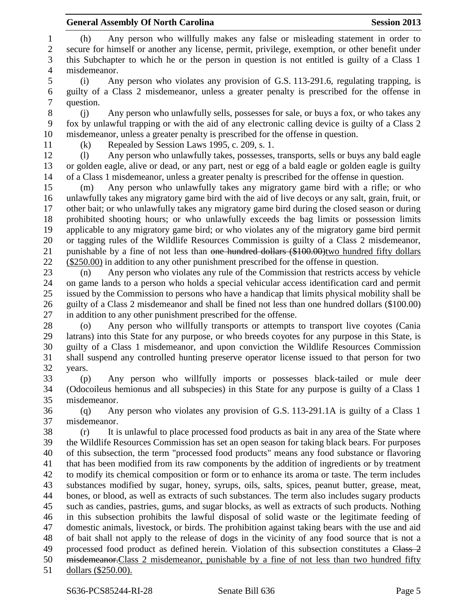(h) Any person who willfully makes any false or misleading statement in order to secure for himself or another any license, permit, privilege, exemption, or other benefit under this Subchapter to which he or the person in question is not entitled is guilty of a Class 1 misdemeanor. (i) Any person who violates any provision of G.S. 113-291.6, regulating trapping, is guilty of a Class 2 misdemeanor, unless a greater penalty is prescribed for the offense in question. (j) Any person who unlawfully sells, possesses for sale, or buys a fox, or who takes any fox by unlawful trapping or with the aid of any electronic calling device is guilty of a Class 2 misdemeanor, unless a greater penalty is prescribed for the offense in question. (k) Repealed by Session Laws 1995, c. 209, s. 1. (l) Any person who unlawfully takes, possesses, transports, sells or buys any bald eagle or golden eagle, alive or dead, or any part, nest or egg of a bald eagle or golden eagle is guilty of a Class 1 misdemeanor, unless a greater penalty is prescribed for the offense in question. (m) Any person who unlawfully takes any migratory game bird with a rifle; or who unlawfully takes any migratory game bird with the aid of live decoys or any salt, grain, fruit, or other bait; or who unlawfully takes any migratory game bird during the closed season or during prohibited shooting hours; or who unlawfully exceeds the bag limits or possession limits applicable to any migratory game bird; or who violates any of the migratory game bird permit or tagging rules of the Wildlife Resources Commission is guilty of a Class 2 misdemeanor, 21 punishable by a fine of not less than <del>one hundred dollars (\$100.00)</del>two hundred fifty dollars (\$250.00) in addition to any other punishment prescribed for the offense in question. (n) Any person who violates any rule of the Commission that restricts access by vehicle on game lands to a person who holds a special vehicular access identification card and permit issued by the Commission to persons who have a handicap that limits physical mobility shall be guilty of a Class 2 misdemeanor and shall be fined not less than one hundred dollars (\$100.00) in addition to any other punishment prescribed for the offense. (o) Any person who willfully transports or attempts to transport live coyotes (Cania latrans) into this State for any purpose, or who breeds coyotes for any purpose in this State, is guilty of a Class 1 misdemeanor, and upon conviction the Wildlife Resources Commission shall suspend any controlled hunting preserve operator license issued to that person for two years. (p) Any person who willfully imports or possesses black-tailed or mule deer (Odocoileus hemionus and all subspecies) in this State for any purpose is guilty of a Class 1 misdemeanor. (q) Any person who violates any provision of G.S. 113-291.1A is guilty of a Class 1 misdemeanor. (r) It is unlawful to place processed food products as bait in any area of the State where the Wildlife Resources Commission has set an open season for taking black bears. For purposes of this subsection, the term "processed food products" means any food substance or flavoring that has been modified from its raw components by the addition of ingredients or by treatment to modify its chemical composition or form or to enhance its aroma or taste. The term includes substances modified by sugar, honey, syrups, oils, salts, spices, peanut butter, grease, meat, bones, or blood, as well as extracts of such substances. The term also includes sugary products such as candies, pastries, gums, and sugar blocks, as well as extracts of such products. Nothing in this subsection prohibits the lawful disposal of solid waste or the legitimate feeding of domestic animals, livestock, or birds. The prohibition against taking bears with the use and aid of bait shall not apply to the release of dogs in the vicinity of any food source that is not a 49 processed food product as defined herein. Violation of this subsection constitutes a Class 2 misdemeanor.Class 2 misdemeanor, punishable by a fine of not less than two hundred fifty dollars (\$250.00).